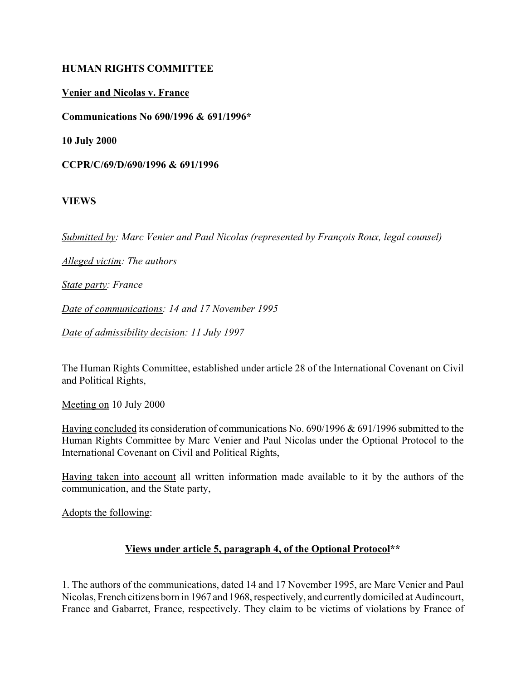#### **HUMAN RIGHTS COMMITTEE**

#### **Venier and Nicolas v. France**

**Communications No 690/1996 & 691/1996\***

**10 July 2000**

**CCPR/C/69/D/690/1996 & 691/1996** 

#### **VIEWS**

*Submitted by: Marc Venier and Paul Nicolas (represented by François Roux, legal counsel)* 

*Alleged victim: The authors*

*State party: France*

*Date of communications: 14 and 17 November 1995*

*Date of admissibility decision: 11 July 1997*

The Human Rights Committee, established under article 28 of the International Covenant on Civil and Political Rights,

Meeting on 10 July 2000

Having concluded its consideration of communications No. 690/1996 & 691/1996 submitted to the Human Rights Committee by Marc Venier and Paul Nicolas under the Optional Protocol to the International Covenant on Civil and Political Rights,

Having taken into account all written information made available to it by the authors of the communication, and the State party,

Adopts the following:

### **Views under article 5, paragraph 4, of the Optional Protocol\*\***

1. The authors of the communications, dated 14 and 17 November 1995, are Marc Venier and Paul Nicolas, French citizens born in 1967 and 1968, respectively, and currently domiciled at Audincourt, France and Gabarret, France, respectively. They claim to be victims of violations by France of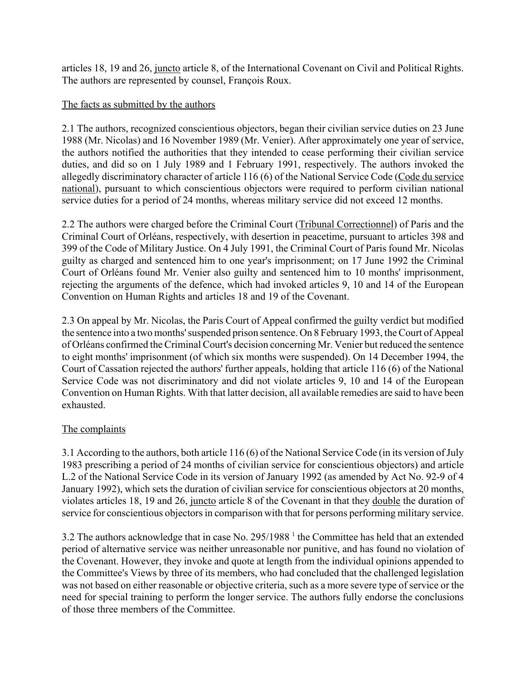articles 18, 19 and 26, juncto article 8, of the International Covenant on Civil and Political Rights. The authors are represented by counsel, François Roux.

### The facts as submitted by the authors

2.1 The authors, recognized conscientious objectors, began their civilian service duties on 23 June 1988 (Mr. Nicolas) and 16 November 1989 (Mr. Venier). After approximately one year of service, the authors notified the authorities that they intended to cease performing their civilian service duties, and did so on 1 July 1989 and 1 February 1991, respectively. The authors invoked the allegedly discriminatory character of article 116 (6) of the National Service Code (Code du service national), pursuant to which conscientious objectors were required to perform civilian national service duties for a period of 24 months, whereas military service did not exceed 12 months.

2.2 The authors were charged before the Criminal Court (Tribunal Correctionnel) of Paris and the Criminal Court of OrlÈans, respectively, with desertion in peacetime, pursuant to articles 398 and 399 of the Code of Military Justice. On 4 July 1991, the Criminal Court of Paris found Mr. Nicolas guilty as charged and sentenced him to one year's imprisonment; on 17 June 1992 the Criminal Court of OrlÈans found Mr. Venier also guilty and sentenced him to 10 months' imprisonment, rejecting the arguments of the defence, which had invoked articles 9, 10 and 14 of the European Convention on Human Rights and articles 18 and 19 of the Covenant.

2.3 On appeal by Mr. Nicolas, the Paris Court of Appeal confirmed the guilty verdict but modified the sentence into a two months' suspended prison sentence. On 8 February 1993, the Court of Appeal of OrlÈans confirmed the Criminal Court's decision concerning Mr. Venier but reduced the sentence to eight months' imprisonment (of which six months were suspended). On 14 December 1994, the Court of Cassation rejected the authors' further appeals, holding that article 116 (6) of the National Service Code was not discriminatory and did not violate articles 9, 10 and 14 of the European Convention on Human Rights. With that latter decision, all available remedies are said to have been exhausted.

### The complaints

3.1 According to the authors, both article 116 (6) of the National Service Code (in its version of July 1983 prescribing a period of 24 months of civilian service for conscientious objectors) and article L.2 of the National Service Code in its version of January 1992 (as amended by Act No. 92-9 of 4 January 1992), which sets the duration of civilian service for conscientious objectors at 20 months, violates articles 18, 19 and 26, juncto article 8 of the Covenant in that they double the duration of service for conscientious objectors in comparison with that for persons performing military service.

3.2 The authors acknowledge that in case No. 295/1988<sup>1</sup> the Committee has held that an extended period of alternative service was neither unreasonable nor punitive, and has found no violation of the Covenant. However, they invoke and quote at length from the individual opinions appended to the Committee's Views by three of its members, who had concluded that the challenged legislation was not based on either reasonable or objective criteria, such as a more severe type of service or the need for special training to perform the longer service. The authors fully endorse the conclusions of those three members of the Committee.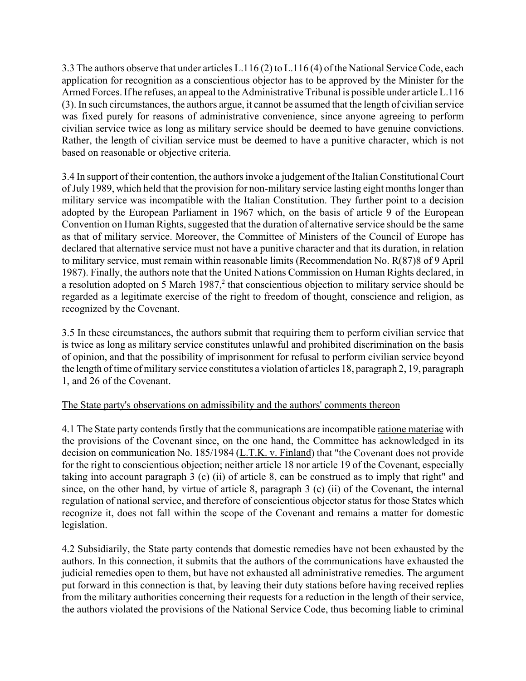3.3 The authors observe that under articles L.116 (2) to L.116 (4) of the National Service Code, each application for recognition as a conscientious objector has to be approved by the Minister for the Armed Forces. If he refuses, an appeal to the Administrative Tribunal is possible under article L.116 (3). In such circumstances, the authors argue, it cannot be assumed that the length of civilian service was fixed purely for reasons of administrative convenience, since anyone agreeing to perform civilian service twice as long as military service should be deemed to have genuine convictions. Rather, the length of civilian service must be deemed to have a punitive character, which is not based on reasonable or objective criteria.

3.4 In support of their contention, the authors invoke a judgement of the Italian Constitutional Court of July 1989, which held that the provision for non-military service lasting eight months longer than military service was incompatible with the Italian Constitution. They further point to a decision adopted by the European Parliament in 1967 which, on the basis of article 9 of the European Convention on Human Rights, suggested that the duration of alternative service should be the same as that of military service. Moreover, the Committee of Ministers of the Council of Europe has declared that alternative service must not have a punitive character and that its duration, in relation to military service, must remain within reasonable limits (Recommendation No. R(87)8 of 9 April 1987). Finally, the authors note that the United Nations Commission on Human Rights declared, in a resolution adopted on 5 March 1987, $2$  that conscientious objection to military service should be regarded as a legitimate exercise of the right to freedom of thought, conscience and religion, as recognized by the Covenant.

3.5 In these circumstances, the authors submit that requiring them to perform civilian service that is twice as long as military service constitutes unlawful and prohibited discrimination on the basis of opinion, and that the possibility of imprisonment for refusal to perform civilian service beyond the length of time of military service constitutes a violation of articles 18, paragraph 2, 19, paragraph 1, and 26 of the Covenant.

### The State party's observations on admissibility and the authors' comments thereon

4.1 The State party contends firstly that the communications are incompatible ratione materiae with the provisions of the Covenant since, on the one hand, the Committee has acknowledged in its decision on communication No. 185/1984 (L.T.K. v. Finland) that "the Covenant does not provide for the right to conscientious objection; neither article 18 nor article 19 of the Covenant, especially taking into account paragraph 3 (c) (ii) of article 8, can be construed as to imply that right" and since, on the other hand, by virtue of article 8, paragraph 3 (c) (ii) of the Covenant, the internal regulation of national service, and therefore of conscientious objector status for those States which recognize it, does not fall within the scope of the Covenant and remains a matter for domestic legislation.

4.2 Subsidiarily, the State party contends that domestic remedies have not been exhausted by the authors. In this connection, it submits that the authors of the communications have exhausted the judicial remedies open to them, but have not exhausted all administrative remedies. The argument put forward in this connection is that, by leaving their duty stations before having received replies from the military authorities concerning their requests for a reduction in the length of their service, the authors violated the provisions of the National Service Code, thus becoming liable to criminal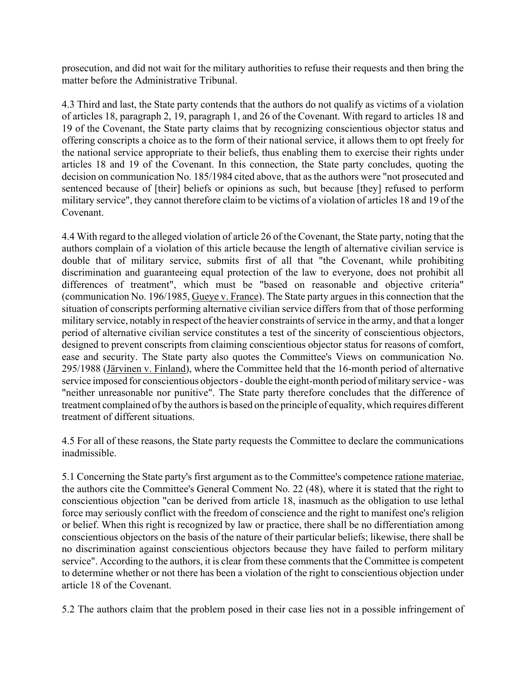prosecution, and did not wait for the military authorities to refuse their requests and then bring the matter before the Administrative Tribunal.

4.3 Third and last, the State party contends that the authors do not qualify as victims of a violation of articles 18, paragraph 2, 19, paragraph 1, and 26 of the Covenant. With regard to articles 18 and 19 of the Covenant, the State party claims that by recognizing conscientious objector status and offering conscripts a choice as to the form of their national service, it allows them to opt freely for the national service appropriate to their beliefs, thus enabling them to exercise their rights under articles 18 and 19 of the Covenant. In this connection, the State party concludes, quoting the decision on communication No. 185/1984 cited above, that as the authors were "not prosecuted and sentenced because of [their] beliefs or opinions as such, but because [they] refused to perform military service", they cannot therefore claim to be victims of a violation of articles 18 and 19 of the Covenant.

4.4 With regard to the alleged violation of article 26 of the Covenant, the State party, noting that the authors complain of a violation of this article because the length of alternative civilian service is double that of military service, submits first of all that "the Covenant, while prohibiting discrimination and guaranteeing equal protection of the law to everyone, does not prohibit all differences of treatment", which must be "based on reasonable and objective criteria" (communication No. 196/1985, Gueye v. France). The State party argues in this connection that the situation of conscripts performing alternative civilian service differs from that of those performing military service, notably in respect of the heavier constraints of service in the army, and that a longer period of alternative civilian service constitutes a test of the sincerity of conscientious objectors, designed to prevent conscripts from claiming conscientious objector status for reasons of comfort, ease and security. The State party also quotes the Committee's Views on communication No. 295/1988 (Järvinen v. Finland), where the Committee held that the 16-month period of alternative service imposed for conscientious objectors - double the eight-month period of military service - was "neither unreasonable nor punitive". The State party therefore concludes that the difference of treatment complained of by the authors is based on the principle of equality, which requires different treatment of different situations.

4.5 For all of these reasons, the State party requests the Committee to declare the communications inadmissible.

5.1 Concerning the State party's first argument as to the Committee's competence ratione materiae, the authors cite the Committee's General Comment No. 22 (48), where it is stated that the right to conscientious objection "can be derived from article 18, inasmuch as the obligation to use lethal force may seriously conflict with the freedom of conscience and the right to manifest one's religion or belief. When this right is recognized by law or practice, there shall be no differentiation among conscientious objectors on the basis of the nature of their particular beliefs; likewise, there shall be no discrimination against conscientious objectors because they have failed to perform military service". According to the authors, it is clear from these comments that the Committee is competent to determine whether or not there has been a violation of the right to conscientious objection under article 18 of the Covenant.

5.2 The authors claim that the problem posed in their case lies not in a possible infringement of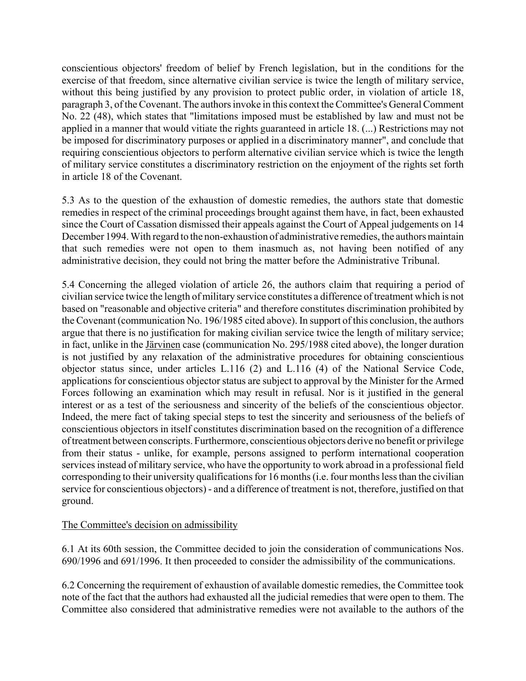conscientious objectors' freedom of belief by French legislation, but in the conditions for the exercise of that freedom, since alternative civilian service is twice the length of military service, without this being justified by any provision to protect public order, in violation of article 18, paragraph 3, of the Covenant. The authors invoke in this context the Committee's General Comment No. 22 (48), which states that "limitations imposed must be established by law and must not be applied in a manner that would vitiate the rights guaranteed in article 18. (...) Restrictions may not be imposed for discriminatory purposes or applied in a discriminatory manner", and conclude that requiring conscientious objectors to perform alternative civilian service which is twice the length of military service constitutes a discriminatory restriction on the enjoyment of the rights set forth in article 18 of the Covenant.

5.3 As to the question of the exhaustion of domestic remedies, the authors state that domestic remedies in respect of the criminal proceedings brought against them have, in fact, been exhausted since the Court of Cassation dismissed their appeals against the Court of Appeal judgements on 14 December 1994. With regard to the non-exhaustion of administrative remedies, the authors maintain that such remedies were not open to them inasmuch as, not having been notified of any administrative decision, they could not bring the matter before the Administrative Tribunal.

5.4 Concerning the alleged violation of article 26, the authors claim that requiring a period of civilian service twice the length of military service constitutes a difference of treatment which is not based on "reasonable and objective criteria" and therefore constitutes discrimination prohibited by the Covenant (communication No. 196/1985 cited above). In support of this conclusion, the authors argue that there is no justification for making civilian service twice the length of military service; in fact, unlike in the Järvinen case (communication No. 295/1988 cited above), the longer duration is not justified by any relaxation of the administrative procedures for obtaining conscientious objector status since, under articles L.116 (2) and L.116 (4) of the National Service Code, applications for conscientious objector status are subject to approval by the Minister for the Armed Forces following an examination which may result in refusal. Nor is it justified in the general interest or as a test of the seriousness and sincerity of the beliefs of the conscientious objector. Indeed, the mere fact of taking special steps to test the sincerity and seriousness of the beliefs of conscientious objectors in itself constitutes discrimination based on the recognition of a difference of treatment between conscripts. Furthermore, conscientious objectors derive no benefit or privilege from their status - unlike, for example, persons assigned to perform international cooperation services instead of military service, who have the opportunity to work abroad in a professional field corresponding to their university qualifications for 16 months (i.e. four months less than the civilian service for conscientious objectors) - and a difference of treatment is not, therefore, justified on that ground.

### The Committee's decision on admissibility

6.1 At its 60th session, the Committee decided to join the consideration of communications Nos. 690/1996 and 691/1996. It then proceeded to consider the admissibility of the communications.

6.2 Concerning the requirement of exhaustion of available domestic remedies, the Committee took note of the fact that the authors had exhausted all the judicial remedies that were open to them. The Committee also considered that administrative remedies were not available to the authors of the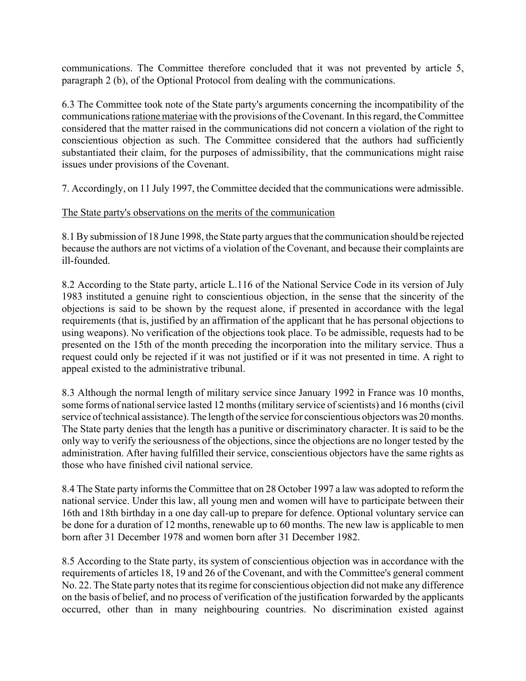communications. The Committee therefore concluded that it was not prevented by article 5, paragraph 2 (b), of the Optional Protocol from dealing with the communications.

6.3 The Committee took note of the State party's arguments concerning the incompatibility of the communications ratione materiae with the provisions of the Covenant. In this regard, the Committee considered that the matter raised in the communications did not concern a violation of the right to conscientious objection as such. The Committee considered that the authors had sufficiently substantiated their claim, for the purposes of admissibility, that the communications might raise issues under provisions of the Covenant.

7. Accordingly, on 11 July 1997, the Committee decided that the communications were admissible.

# The State party's observations on the merits of the communication

8.1 By submission of 18 June 1998, the State party argues that the communication should be rejected because the authors are not victims of a violation of the Covenant, and because their complaints are ill-founded.

8.2 According to the State party, article L.116 of the National Service Code in its version of July 1983 instituted a genuine right to conscientious objection, in the sense that the sincerity of the objections is said to be shown by the request alone, if presented in accordance with the legal requirements (that is, justified by an affirmation of the applicant that he has personal objections to using weapons). No verification of the objections took place. To be admissible, requests had to be presented on the 15th of the month preceding the incorporation into the military service. Thus a request could only be rejected if it was not justified or if it was not presented in time. A right to appeal existed to the administrative tribunal.

8.3 Although the normal length of military service since January 1992 in France was 10 months, some forms of national service lasted 12 months (military service of scientists) and 16 months (civil service of technical assistance). The length of the service for conscientious objectors was 20 months. The State party denies that the length has a punitive or discriminatory character. It is said to be the only way to verify the seriousness of the objections, since the objections are no longer tested by the administration. After having fulfilled their service, conscientious objectors have the same rights as those who have finished civil national service.

8.4 The State party informs the Committee that on 28 October 1997 a law was adopted to reform the national service. Under this law, all young men and women will have to participate between their 16th and 18th birthday in a one day call-up to prepare for defence. Optional voluntary service can be done for a duration of 12 months, renewable up to 60 months. The new law is applicable to men born after 31 December 1978 and women born after 31 December 1982.

8.5 According to the State party, its system of conscientious objection was in accordance with the requirements of articles 18, 19 and 26 of the Covenant, and with the Committee's general comment No. 22. The State party notes that its regime for conscientious objection did not make any difference on the basis of belief, and no process of verification of the justification forwarded by the applicants occurred, other than in many neighbouring countries. No discrimination existed against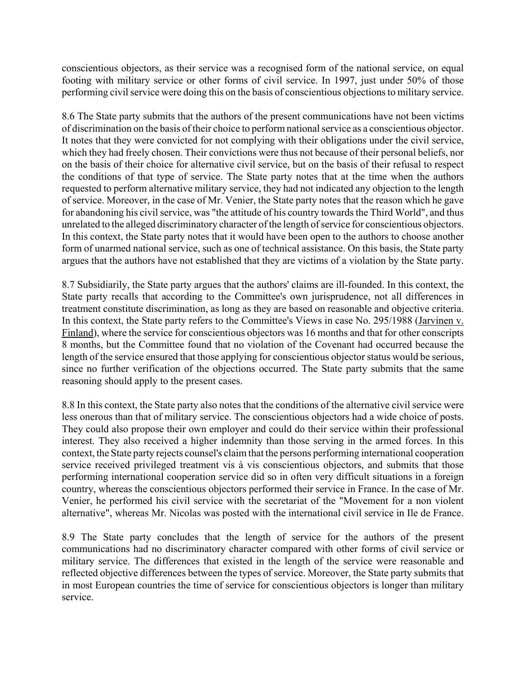conscientious objectors, as their service was a recognised form of the national service, on equal footing with military service or other forms of civil service. In 1997, just under 50% of those performing civil service were doing this on the basis of conscientious objections to military service.

8.6 The State party submits that the authors of the present communications have not been victims of discrimination on the basis of their choice to perform national service as a conscientious objector. It notes that they were convicted for not complying with their obligations under the civil service, which they had freely chosen. Their convictions were thus not because of their personal beliefs, nor on the basis of their choice for alternative civil service, but on the basis of their refusal to respect the conditions of that type of service. The State party notes that at the time when the authors requested to perform alternative military service, they had not indicated any objection to the length of service. Moreover, in the case of Mr. Venier, the State party notes that the reason which he gave for abandoning his civil service, was "the attitude of his country towards the Third World", and thus unrelated to the alleged discriminatory character of the length of service for conscientious objectors. In this context, the State party notes that it would have been open to the authors to choose another form of unarmed national service, such as one of technical assistance. On this basis, the State party argues that the authors have not established that they are victims of a violation by the State party.

8.7 Subsidiarily, the State party argues that the authors' claims are ill-founded. In this context, the State party recalls that according to the Committee's own jurisprudence, not all differences in treatment constitute discrimination, as long as they are based on reasonable and objective criteria. In this context, the State party refers to the Committee's Views in case No. 295/1988 (Jarvinen v. Finland), where the service for conscientious objectors was 16 months and that for other conscripts 8 months, but the Committee found that no violation of the Covenant had occurred because the length of the service ensured that those applying for conscientious objector status would be serious, since no further verification of the objections occurred. The State party submits that the same reasoning should apply to the present cases.

8.8 In this context, the State party also notes that the conditions of the alternative civil service were less onerous than that of military service. The conscientious objectors had a wide choice of posts. They could also propose their own employer and could do their service within their professional interest. They also received a higher indemnity than those serving in the armed forces. In this context, the State party rejects counsel's claim that the persons performing international cooperation service received privileged treatment vis à vis conscientious objectors, and submits that those performing international cooperation service did so in often very difficult situations in a foreign country, whereas the conscientious objectors performed their service in France. In the case of Mr. Venier, he performed his civil service with the secretariat of the "Movement for a non violent alternative", whereas Mr. Nicolas was posted with the international civil service in Ile de France.

8.9 The State party concludes that the length of service for the authors of the present communications had no discriminatory character compared with other forms of civil service or military service. The differences that existed in the length of the service were reasonable and reflected objective differences between the types of service. Moreover, the State party submits that in most European countries the time of service for conscientious objectors is longer than military service.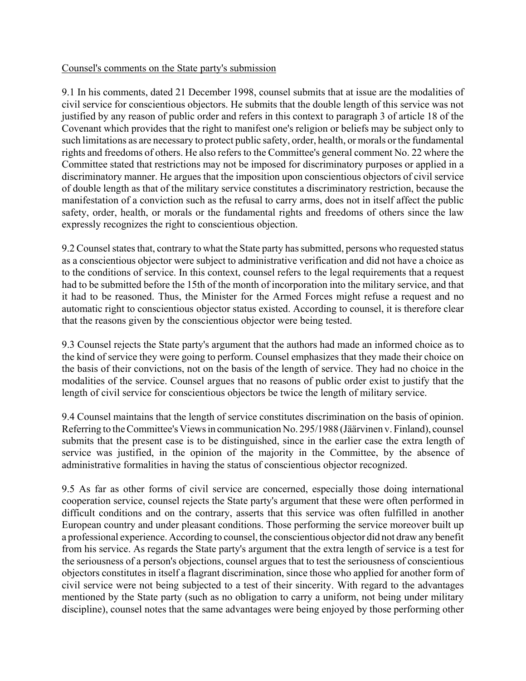#### Counsel's comments on the State party's submission

9.1 In his comments, dated 21 December 1998, counsel submits that at issue are the modalities of civil service for conscientious objectors. He submits that the double length of this service was not justified by any reason of public order and refers in this context to paragraph 3 of article 18 of the Covenant which provides that the right to manifest one's religion or beliefs may be subject only to such limitations as are necessary to protect public safety, order, health, or morals or the fundamental rights and freedoms of others. He also refers to the Committee's general comment No. 22 where the Committee stated that restrictions may not be imposed for discriminatory purposes or applied in a discriminatory manner. He argues that the imposition upon conscientious objectors of civil service of double length as that of the military service constitutes a discriminatory restriction, because the manifestation of a conviction such as the refusal to carry arms, does not in itself affect the public safety, order, health, or morals or the fundamental rights and freedoms of others since the law expressly recognizes the right to conscientious objection.

9.2 Counsel states that, contrary to what the State party has submitted, persons who requested status as a conscientious objector were subject to administrative verification and did not have a choice as to the conditions of service. In this context, counsel refers to the legal requirements that a request had to be submitted before the 15th of the month of incorporation into the military service, and that it had to be reasoned. Thus, the Minister for the Armed Forces might refuse a request and no automatic right to conscientious objector status existed. According to counsel, it is therefore clear that the reasons given by the conscientious objector were being tested.

9.3 Counsel rejects the State party's argument that the authors had made an informed choice as to the kind of service they were going to perform. Counsel emphasizes that they made their choice on the basis of their convictions, not on the basis of the length of service. They had no choice in the modalities of the service. Counsel argues that no reasons of public order exist to justify that the length of civil service for conscientious objectors be twice the length of military service.

9.4 Counsel maintains that the length of service constitutes discrimination on the basis of opinion. Referring to the Committee's Views in communication No. 295/1988 (Jäärvinen v. Finland), counsel submits that the present case is to be distinguished, since in the earlier case the extra length of service was justified, in the opinion of the majority in the Committee, by the absence of administrative formalities in having the status of conscientious objector recognized.

9.5 As far as other forms of civil service are concerned, especially those doing international cooperation service, counsel rejects the State party's argument that these were often performed in difficult conditions and on the contrary, asserts that this service was often fulfilled in another European country and under pleasant conditions. Those performing the service moreover built up a professional experience. According to counsel, the conscientious objector did not draw any benefit from his service. As regards the State party's argument that the extra length of service is a test for the seriousness of a person's objections, counsel argues that to test the seriousness of conscientious objectors constitutes in itself a flagrant discrimination, since those who applied for another form of civil service were not being subjected to a test of their sincerity. With regard to the advantages mentioned by the State party (such as no obligation to carry a uniform, not being under military discipline), counsel notes that the same advantages were being enjoyed by those performing other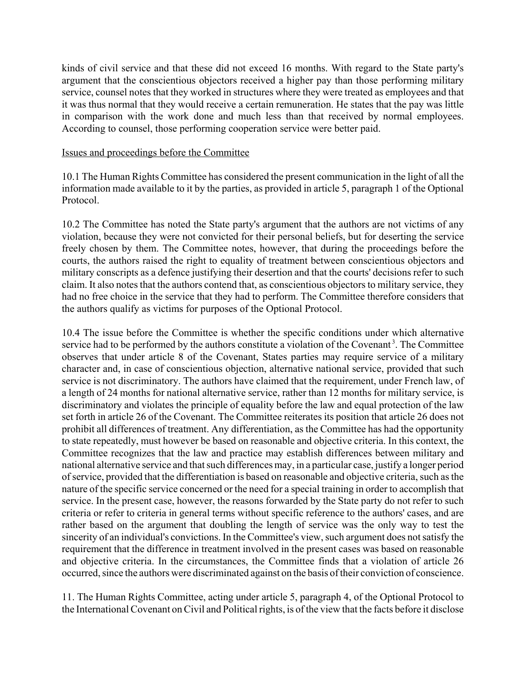kinds of civil service and that these did not exceed 16 months. With regard to the State party's argument that the conscientious objectors received a higher pay than those performing military service, counsel notes that they worked in structures where they were treated as employees and that it was thus normal that they would receive a certain remuneration. He states that the pay was little in comparison with the work done and much less than that received by normal employees. According to counsel, those performing cooperation service were better paid.

#### Issues and proceedings before the Committee

10.1 The Human Rights Committee has considered the present communication in the light of all the information made available to it by the parties, as provided in article 5, paragraph 1 of the Optional Protocol.

10.2 The Committee has noted the State party's argument that the authors are not victims of any violation, because they were not convicted for their personal beliefs, but for deserting the service freely chosen by them. The Committee notes, however, that during the proceedings before the courts, the authors raised the right to equality of treatment between conscientious objectors and military conscripts as a defence justifying their desertion and that the courts' decisions refer to such claim. It also notes that the authors contend that, as conscientious objectors to military service, they had no free choice in the service that they had to perform. The Committee therefore considers that the authors qualify as victims for purposes of the Optional Protocol.

10.4 The issue before the Committee is whether the specific conditions under which alternative service had to be performed by the authors constitute a violation of the Covenant<sup>3</sup>. The Committee observes that under article 8 of the Covenant, States parties may require service of a military character and, in case of conscientious objection, alternative national service, provided that such service is not discriminatory. The authors have claimed that the requirement, under French law, of a length of 24 months for national alternative service, rather than 12 months for military service, is discriminatory and violates the principle of equality before the law and equal protection of the law set forth in article 26 of the Covenant. The Committee reiterates its position that article 26 does not prohibit all differences of treatment. Any differentiation, as the Committee has had the opportunity to state repeatedly, must however be based on reasonable and objective criteria. In this context, the Committee recognizes that the law and practice may establish differences between military and national alternative service and that such differences may, in a particular case, justify a longer period of service, provided that the differentiation is based on reasonable and objective criteria, such as the nature of the specific service concerned or the need for a special training in order to accomplish that service. In the present case, however, the reasons forwarded by the State party do not refer to such criteria or refer to criteria in general terms without specific reference to the authors' cases, and are rather based on the argument that doubling the length of service was the only way to test the sincerity of an individual's convictions. In the Committee's view, such argument does not satisfy the requirement that the difference in treatment involved in the present cases was based on reasonable and objective criteria. In the circumstances, the Committee finds that a violation of article 26 occurred, since the authors were discriminated against on the basis of their conviction of conscience.

11. The Human Rights Committee, acting under article 5, paragraph 4, of the Optional Protocol to the International Covenant on Civil and Political rights, is of the view that the facts before it disclose